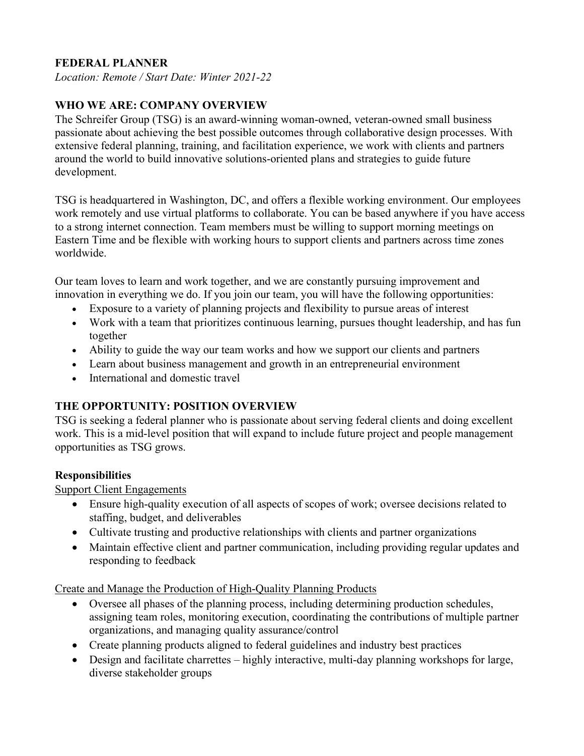## **FEDERAL PLANNER**

*Location: Remote / Start Date: Winter 2021-22*

# **WHO WE ARE: COMPANY OVERVIEW**

The Schreifer Group (TSG) is an award-winning woman-owned, veteran-owned small business passionate about achieving the best possible outcomes through collaborative design processes. With extensive federal planning, training, and facilitation experience, we work with clients and partners around the world to build innovative solutions-oriented plans and strategies to guide future development.

TSG is headquartered in Washington, DC, and offers a flexible working environment. Our employees work remotely and use virtual platforms to collaborate. You can be based anywhere if you have access to a strong internet connection. Team members must be willing to support morning meetings on Eastern Time and be flexible with working hours to support clients and partners across time zones worldwide.

Our team loves to learn and work together, and we are constantly pursuing improvement and innovation in everything we do. If you join our team, you will have the following opportunities:

- Exposure to a variety of planning projects and flexibility to pursue areas of interest
- Work with a team that prioritizes continuous learning, pursues thought leadership, and has fun together
- Ability to guide the way our team works and how we support our clients and partners
- Learn about business management and growth in an entrepreneurial environment
- International and domestic travel

## **THE OPPORTUNITY: POSITION OVERVIEW**

TSG is seeking a federal planner who is passionate about serving federal clients and doing excellent work. This is a mid-level position that will expand to include future project and people management opportunities as TSG grows.

#### **Responsibilities**

Support Client Engagements

- Ensure high-quality execution of all aspects of scopes of work; oversee decisions related to staffing, budget, and deliverables
- Cultivate trusting and productive relationships with clients and partner organizations
- Maintain effective client and partner communication, including providing regular updates and responding to feedback

Create and Manage the Production of High-Quality Planning Products

- Oversee all phases of the planning process, including determining production schedules, assigning team roles, monitoring execution, coordinating the contributions of multiple partner organizations, and managing quality assurance/control
- Create planning products aligned to federal guidelines and industry best practices
- Design and facilitate charrettes highly interactive, multi-day planning workshops for large, diverse stakeholder groups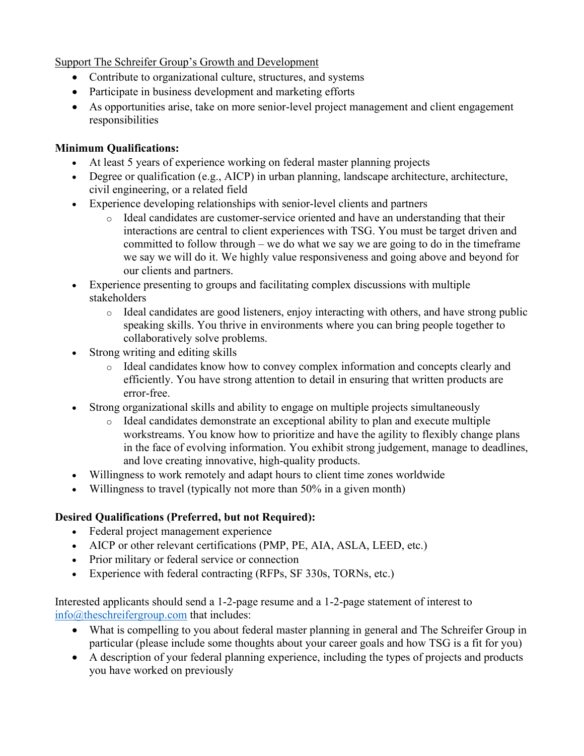#### Support The Schreifer Group's Growth and Development

- Contribute to organizational culture, structures, and systems
- Participate in business development and marketing efforts
- As opportunities arise, take on more senior-level project management and client engagement responsibilities

# **Minimum Qualifications:**

- At least 5 years of experience working on federal master planning projects
- Degree or qualification (e.g., AICP) in urban planning, landscape architecture, architecture, civil engineering, or a related field
- Experience developing relationships with senior-level clients and partners
	- o Ideal candidates are customer-service oriented and have an understanding that their interactions are central to client experiences with TSG. You must be target driven and committed to follow through – we do what we say we are going to do in the timeframe we say we will do it. We highly value responsiveness and going above and beyond for our clients and partners.
- Experience presenting to groups and facilitating complex discussions with multiple stakeholders
	- o Ideal candidates are good listeners, enjoy interacting with others, and have strong public speaking skills. You thrive in environments where you can bring people together to collaboratively solve problems.
- Strong writing and editing skills
	- o Ideal candidates know how to convey complex information and concepts clearly and efficiently. You have strong attention to detail in ensuring that written products are error-free.
- Strong organizational skills and ability to engage on multiple projects simultaneously
	- o Ideal candidates demonstrate an exceptional ability to plan and execute multiple workstreams. You know how to prioritize and have the agility to flexibly change plans in the face of evolving information. You exhibit strong judgement, manage to deadlines, and love creating innovative, high-quality products.
- Willingness to work remotely and adapt hours to client time zones worldwide
- Willingness to travel (typically not more than 50% in a given month)

# **Desired Qualifications (Preferred, but not Required):**

- Federal project management experience
- AICP or other relevant certifications (PMP, PE, AIA, ASLA, LEED, etc.)
- Prior military or federal service or connection
- Experience with federal contracting (RFPs, SF 330s, TORNs, etc.)

Interested applicants should send a 1-2-page resume and a 1-2-page statement of interest to [info@theschreifergroup.com](mailto:info@theschreifergroup.com) that includes:

- What is compelling to you about federal master planning in general and The Schreifer Group in particular (please include some thoughts about your career goals and how TSG is a fit for you)
- A description of your federal planning experience, including the types of projects and products you have worked on previously